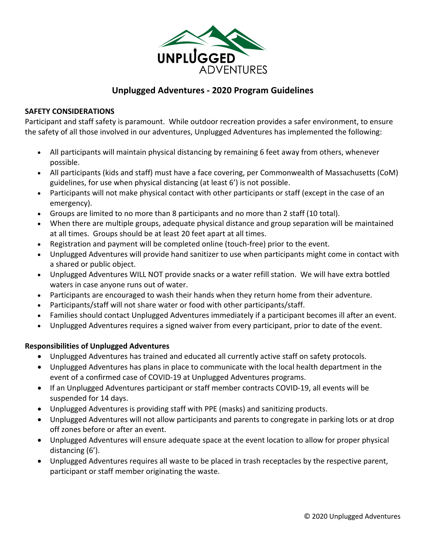

# **Unplugged Adventures - 2020 Program Guidelines**

## **SAFETY CONSIDERATIONS**

Participant and staff safety is paramount. While outdoor recreation provides a safer environment, to ensure the safety of all those involved in our adventures, Unplugged Adventures has implemented the following:

- All participants will maintain physical distancing by remaining 6 feet away from others, whenever possible.
- All participants (kids and staff) must have a face covering, per Commonwealth of Massachusetts (CoM) guidelines, for use when physical distancing (at least 6') is not possible.
- Participants will not make physical contact with other participants or staff (except in the case of an emergency).
- Groups are limited to no more than 8 participants and no more than 2 staff (10 total).
- When there are multiple groups, adequate physical distance and group separation will be maintained at all times. Groups should be at least 20 feet apart at all times.
- Registration and payment will be completed online (touch-free) prior to the event.
- Unplugged Adventures will provide hand sanitizer to use when participants might come in contact with a shared or public object.
- Unplugged Adventures WILL NOT provide snacks or a water refill station. We will have extra bottled waters in case anyone runs out of water.
- Participants are encouraged to wash their hands when they return home from their adventure.
- Participants/staff will not share water or food with other participants/staff.
- Families should contact Unplugged Adventures immediately if a participant becomes ill after an event.
- Unplugged Adventures requires a signed waiver from every participant, prior to date of the event.

## **Responsibilities of Unplugged Adventures**

- Unplugged Adventures has trained and educated all currently active staff on safety protocols.
- Unplugged Adventures has plans in place to communicate with the local health department in the event of a confirmed case of COVID-19 at Unplugged Adventures programs.
- If an Unplugged Adventures participant or staff member contracts COVID-19, all events will be suspended for 14 days.
- Unplugged Adventures is providing staff with PPE (masks) and sanitizing products.
- Unplugged Adventures will not allow participants and parents to congregate in parking lots or at drop off zones before or after an event.
- Unplugged Adventures will ensure adequate space at the event location to allow for proper physical distancing (6').
- Unplugged Adventures requires all waste to be placed in trash receptacles by the respective parent, participant or staff member originating the waste.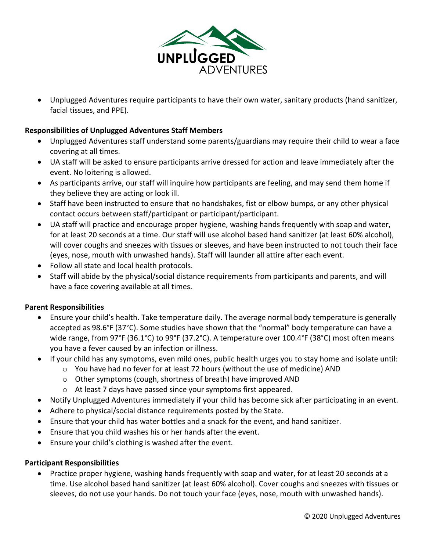

• Unplugged Adventures require participants to have their own water, sanitary products (hand sanitizer, facial tissues, and PPE).

## **Responsibilities of Unplugged Adventures Staff Members**

- Unplugged Adventures staff understand some parents/guardians may require their child to wear a face covering at all times.
- UA staff will be asked to ensure participants arrive dressed for action and leave immediately after the event. No loitering is allowed.
- As participants arrive, our staff will inquire how participants are feeling, and may send them home if they believe they are acting or look ill.
- Staff have been instructed to ensure that no handshakes, fist or elbow bumps, or any other physical contact occurs between staff/participant or participant/participant.
- UA staff will practice and encourage proper hygiene, washing hands frequently with soap and water, for at least 20 seconds at a time. Our staff will use alcohol based hand sanitizer (at least 60% alcohol), will cover coughs and sneezes with tissues or sleeves, and have been instructed to not touch their face (eyes, nose, mouth with unwashed hands). Staff will launder all attire after each event.
- Follow all state and local health protocols.
- Staff will abide by the physical/social distance requirements from participants and parents, and will have a face covering available at all times.

### **Parent Responsibilities**

- Ensure your child's health. Take temperature daily. The average normal body temperature is generally accepted as 98.6°F (37°C). Some studies have shown that the "normal" body temperature can have a wide range, from 97°F (36.1°C) to 99°F (37.2°C). A temperature over 100.4°F (38°C) most often means you have a fever caused by an infection or illness.
- If your child has any symptoms, even mild ones, public health urges you to stay home and isolate until:
	- $\circ$  You have had no fever for at least 72 hours (without the use of medicine) AND
	- o Other symptoms (cough, shortness of breath) have improved AND
	- o At least 7 days have passed since your symptoms first appeared.
- Notify Unplugged Adventures immediately if your child has become sick after participating in an event.
- Adhere to physical/social distance requirements posted by the State.
- Ensure that your child has water bottles and a snack for the event, and hand sanitizer.
- Ensure that you child washes his or her hands after the event.
- Ensure your child's clothing is washed after the event.

### **Participant Responsibilities**

• Practice proper hygiene, washing hands frequently with soap and water, for at least 20 seconds at a time. Use alcohol based hand sanitizer (at least 60% alcohol). Cover coughs and sneezes with tissues or sleeves, do not use your hands. Do not touch your face (eyes, nose, mouth with unwashed hands).